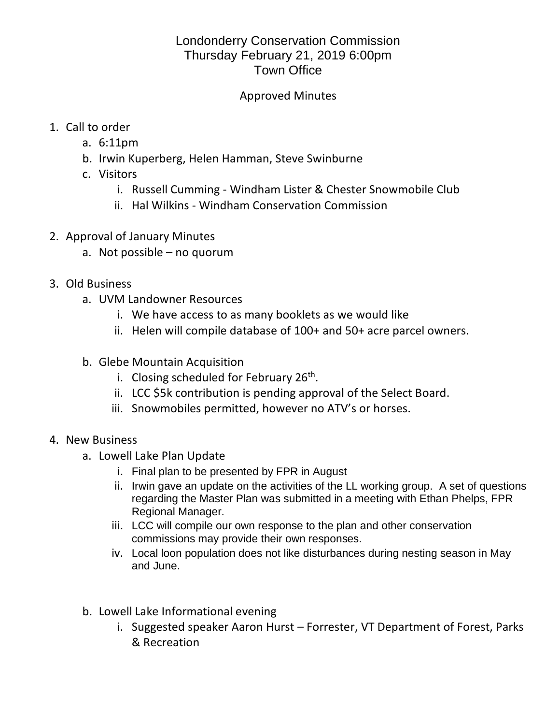## Londonderry Conservation Commission Thursday February 21, 2019 6:00pm Town Office

## Approved Minutes

- 1. Call to order
	- a. 6:11pm
	- b. Irwin Kuperberg, Helen Hamman, Steve Swinburne
	- c. Visitors
		- i. Russell Cumming Windham Lister & Chester Snowmobile Club
		- ii. Hal Wilkins Windham Conservation Commission
- 2. Approval of January Minutes
	- a. Not possible no quorum
- 3. Old Business
	- a. UVM Landowner Resources
		- i. We have access to as many booklets as we would like
		- ii. Helen will compile database of 100+ and 50+ acre parcel owners.
	- b. Glebe Mountain Acquisition
		- i. Closing scheduled for February 26<sup>th</sup>.
		- ii. LCC \$5k contribution is pending approval of the Select Board.
		- iii. Snowmobiles permitted, however no ATV's or horses.
- 4. New Business
	- a. Lowell Lake Plan Update
		- i. Final plan to be presented by FPR in August
		- ii. Irwin gave an update on the activities of the LL working group. A set of questions regarding the Master Plan was submitted in a meeting with Ethan Phelps, FPR Regional Manager.
		- iii. LCC will compile our own response to the plan and other conservation commissions may provide their own responses.
		- iv. Local loon population does not like disturbances during nesting season in May and June.
	- b. Lowell Lake Informational evening
		- i. Suggested speaker Aaron Hurst Forrester, VT Department of Forest, Parks & Recreation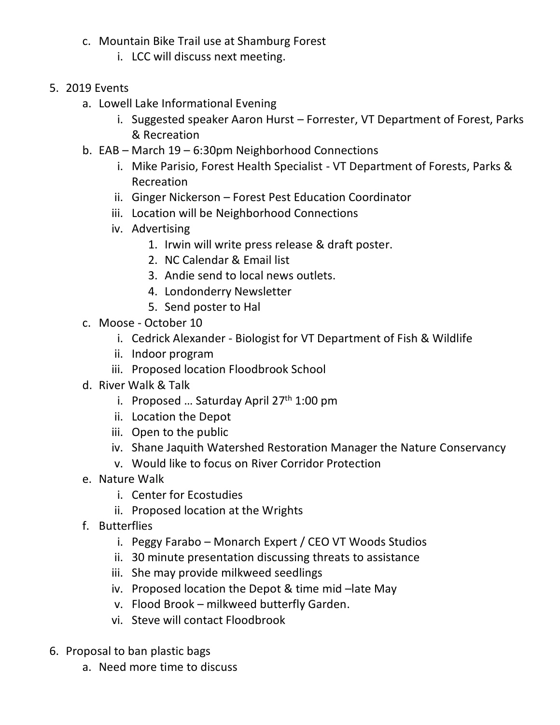- c. Mountain Bike Trail use at Shamburg Forest
	- i. LCC will discuss next meeting.
- 5. 2019 Events
	- a. Lowell Lake Informational Evening
		- i. Suggested speaker Aaron Hurst Forrester, VT Department of Forest, Parks & Recreation
	- b. EAB March 19 6:30pm Neighborhood Connections
		- i. Mike Parisio, Forest Health Specialist VT Department of Forests, Parks & Recreation
		- ii. Ginger Nickerson Forest Pest Education Coordinator
		- iii. Location will be Neighborhood Connections
		- iv. Advertising
			- 1. Irwin will write press release & draft poster.
			- 2. NC Calendar & Email list
			- 3. Andie send to local news outlets.
			- 4. Londonderry Newsletter
			- 5. Send poster to Hal
	- c. Moose October 10
		- i. Cedrick Alexander Biologist for VT Department of Fish & Wildlife
		- ii. Indoor program
		- iii. Proposed location Floodbrook School
	- d. River Walk & Talk
		- i. Proposed ... Saturday April 27<sup>th</sup> 1:00 pm
		- ii. Location the Depot
		- iii. Open to the public
		- iv. Shane Jaquith Watershed Restoration Manager the Nature Conservancy
		- v. Would like to focus on River Corridor Protection
	- e. Nature Walk
		- i. Center for Ecostudies
		- ii. Proposed location at the Wrights
	- f. Butterflies
		- i. Peggy Farabo Monarch Expert / CEO VT Woods Studios
		- ii. 30 minute presentation discussing threats to assistance
		- iii. She may provide milkweed seedlings
		- iv. Proposed location the Depot & time mid –late May
		- v. Flood Brook milkweed butterfly Garden.
		- vi. Steve will contact Floodbrook
- 6. Proposal to ban plastic bags
	- a. Need more time to discuss